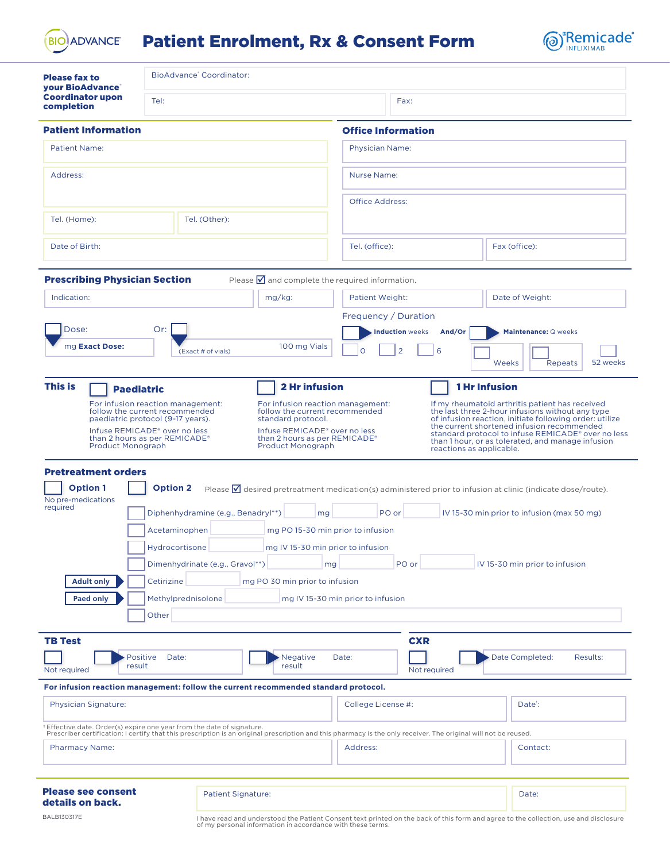**BIO ADVANCE** 

## Patient Enrolment, Rx & Consent Form



| <b>Please fax to</b><br>your BioAdvance <sup>®</sup>                      | BioAdvance' Coordinator:                                                                                                                                                                                                                                                          |                                                                                                                                             |                                                                                                                                                                                                                                  |                                                                                                                                                                                                                                                                      |  |
|---------------------------------------------------------------------------|-----------------------------------------------------------------------------------------------------------------------------------------------------------------------------------------------------------------------------------------------------------------------------------|---------------------------------------------------------------------------------------------------------------------------------------------|----------------------------------------------------------------------------------------------------------------------------------------------------------------------------------------------------------------------------------|----------------------------------------------------------------------------------------------------------------------------------------------------------------------------------------------------------------------------------------------------------------------|--|
| <b>Coordinator upon</b><br>completion                                     | Tel:                                                                                                                                                                                                                                                                              |                                                                                                                                             | Fax:                                                                                                                                                                                                                             |                                                                                                                                                                                                                                                                      |  |
| <b>Patient Information</b>                                                |                                                                                                                                                                                                                                                                                   |                                                                                                                                             | <b>Office Information</b>                                                                                                                                                                                                        |                                                                                                                                                                                                                                                                      |  |
| <b>Patient Name:</b>                                                      |                                                                                                                                                                                                                                                                                   |                                                                                                                                             | <b>Physician Name:</b>                                                                                                                                                                                                           |                                                                                                                                                                                                                                                                      |  |
| Address:                                                                  |                                                                                                                                                                                                                                                                                   |                                                                                                                                             | <b>Nurse Name:</b>                                                                                                                                                                                                               |                                                                                                                                                                                                                                                                      |  |
| Tel. (Home):<br>Tel. (Other):                                             |                                                                                                                                                                                                                                                                                   |                                                                                                                                             | <b>Office Address:</b>                                                                                                                                                                                                           |                                                                                                                                                                                                                                                                      |  |
| Date of Birth:                                                            |                                                                                                                                                                                                                                                                                   |                                                                                                                                             | Tel. (office):                                                                                                                                                                                                                   | Fax (office):                                                                                                                                                                                                                                                        |  |
| <b>Prescribing Physician Section</b>                                      |                                                                                                                                                                                                                                                                                   | Please $\blacksquare$ and complete the required information.                                                                                |                                                                                                                                                                                                                                  |                                                                                                                                                                                                                                                                      |  |
| Indication:                                                               |                                                                                                                                                                                                                                                                                   | mg/kg:                                                                                                                                      | <b>Patient Weight:</b>                                                                                                                                                                                                           | Date of Weight:                                                                                                                                                                                                                                                      |  |
|                                                                           |                                                                                                                                                                                                                                                                                   |                                                                                                                                             | Frequency / Duration                                                                                                                                                                                                             |                                                                                                                                                                                                                                                                      |  |
| Dose:                                                                     | Or:                                                                                                                                                                                                                                                                               |                                                                                                                                             | <b>Induction</b> weeks<br>And/Or                                                                                                                                                                                                 | Maintenance: Q weeks                                                                                                                                                                                                                                                 |  |
| mg Exact Dose:                                                            | (Exact # of vials)                                                                                                                                                                                                                                                                | 100 mg Vials                                                                                                                                | $\overline{2}$<br>6<br>∩                                                                                                                                                                                                         | 52 weeks<br>Weeks<br>Repeats                                                                                                                                                                                                                                         |  |
| <b>Product Monograph</b><br><b>Pretreatment orders</b><br><b>Option 1</b> | follow the current recommended<br>paediatric protocol (9-17 years).<br>Infuse REMICADE® over no less<br>than 2 hours as per REMICADE®<br><b>Option 2</b>                                                                                                                          | follow the current recommended<br>standard protocol.<br>Infuse REMICADE® over no less<br>than 2 hours as per REMICADE®<br>Product Monograph | reactions as applicable.                                                                                                                                                                                                         | the last three 2-hour infusions without any type<br>of infusion reaction, initiate following order: utilize<br>the current shortened infusion recommended<br>standard protocol to infuse REMICADE® over no less<br>than 1 hour, or as tolerated, and manage infusion |  |
| No pre-medications<br>required                                            | Please $\blacksquare$ desired pretreatment medication(s) administered prior to infusion at clinic (indicate dose/route).<br>Diphenhydramine (e.g., Benadryl**)<br>PO or<br>IV 15-30 min prior to infusion (max 50 mg)<br>mg<br>Acetaminophen<br>mg PO 15-30 min prior to infusion |                                                                                                                                             |                                                                                                                                                                                                                                  |                                                                                                                                                                                                                                                                      |  |
|                                                                           | Hydrocortisone<br>Dimenhydrinate (e.g., Gravol**)                                                                                                                                                                                                                                 | mg IV 15-30 min prior to infusion<br>mg                                                                                                     | PO or                                                                                                                                                                                                                            | IV 15-30 min prior to infusion                                                                                                                                                                                                                                       |  |
| <b>Paed only</b>                                                          | Cetirizine<br><b>Adult only</b><br>mg PO 30 min prior to infusion<br>Methylprednisolone<br>mg IV 15-30 min prior to infusion<br>Other                                                                                                                                             |                                                                                                                                             |                                                                                                                                                                                                                                  |                                                                                                                                                                                                                                                                      |  |
|                                                                           |                                                                                                                                                                                                                                                                                   |                                                                                                                                             |                                                                                                                                                                                                                                  |                                                                                                                                                                                                                                                                      |  |
| <b>TB Test</b><br>result<br>Not required                                  | Positive<br>Date:                                                                                                                                                                                                                                                                 | <b>Negative</b><br>result                                                                                                                   | <b>CXR</b><br>Date:<br>Not required                                                                                                                                                                                              | Date Completed:<br>Results:                                                                                                                                                                                                                                          |  |
|                                                                           |                                                                                                                                                                                                                                                                                   | For infusion reaction management: follow the current recommended standard protocol.                                                         |                                                                                                                                                                                                                                  |                                                                                                                                                                                                                                                                      |  |
| <b>Physician Signature:</b>                                               |                                                                                                                                                                                                                                                                                   |                                                                                                                                             | College License #:                                                                                                                                                                                                               | Date <sup>*</sup> :                                                                                                                                                                                                                                                  |  |
|                                                                           |                                                                                                                                                                                                                                                                                   |                                                                                                                                             | +Effective date. Order(s) expire one year from the date of signature.<br>Prescriber certification: I certify that this prescription is an original prescription and this pharmacy is the only receiver. The original will not be |                                                                                                                                                                                                                                                                      |  |
| <b>Pharmacy Name:</b>                                                     |                                                                                                                                                                                                                                                                                   |                                                                                                                                             | Address:                                                                                                                                                                                                                         | Contact:                                                                                                                                                                                                                                                             |  |
| <b>Please see consent</b><br>details on back.                             |                                                                                                                                                                                                                                                                                   | <b>Patient Signature:</b>                                                                                                                   |                                                                                                                                                                                                                                  | Date:                                                                                                                                                                                                                                                                |  |

BALB130317E I have read and understood the Patient Consent text printed on the back of this form and agree to the collection, use and disclosure of my personal information in accordance with these terms.